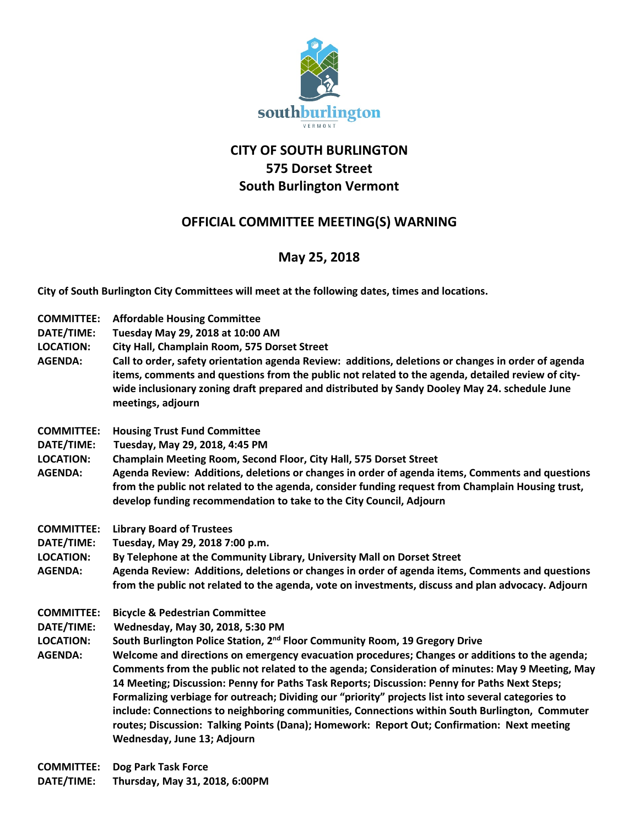

## **CITY OF SOUTH BURLINGTON 575 Dorset Street South Burlington Vermont**

## **OFFICIAL COMMITTEE MEETING(S) WARNING**

## **May 25, 2018**

**City of South Burlington City Committees will meet at the following dates, times and locations.** 

- **COMMITTEE: Affordable Housing Committee**
- **DATE/TIME: Tuesday May 29, 2018 at 10:00 AM**
- **LOCATION: City Hall, Champlain Room, 575 Dorset Street**
- **AGENDA: Call to order, safety orientation agenda Review: additions, deletions or changes in order of agenda items, comments and questions from the public not related to the agenda, detailed review of citywide inclusionary zoning draft prepared and distributed by Sandy Dooley May 24. schedule June meetings, adjourn**
- **COMMITTEE: Housing Trust Fund Committee**
- **DATE/TIME: Tuesday, May 29, 2018, 4:45 PM**

**LOCATION: Champlain Meeting Room, Second Floor, City Hall, 575 Dorset Street**

- **AGENDA: Agenda Review: Additions, deletions or changes in order of agenda items, Comments and questions from the public not related to the agenda, consider funding request from Champlain Housing trust, develop funding recommendation to take to the City Council, Adjourn**
- **COMMITTEE: Library Board of Trustees**
- **DATE/TIME: Tuesday, May 29, 2018 7:00 p.m.**
- **LOCATION: By Telephone at the Community Library, University Mall on Dorset Street**
- **AGENDA: Agenda Review: Additions, deletions or changes in order of agenda items, Comments and questions from the public not related to the agenda, vote on investments, discuss and plan advocacy. Adjourn**
- **COMMITTEE: Bicycle & Pedestrian Committee**
- **DATE/TIME: Wednesday, May 30, 2018, 5:30 PM**
- **LOCATION: South Burlington Police Station, 2nd Floor Community Room, 19 Gregory Drive**
- **AGENDA: Welcome and directions on emergency evacuation procedures; Changes or additions to the agenda; Comments from the public not related to the agenda; Consideration of minutes: May 9 Meeting, May 14 Meeting; Discussion: Penny for Paths Task Reports; Discussion: Penny for Paths Next Steps; Formalizing verbiage for outreach; Dividing our "priority" projects list into several categories to include: Connections to neighboring communities, Connections within South Burlington, Commuter routes; Discussion: Talking Points (Dana); Homework: Report Out; Confirmation: Next meeting Wednesday, June 13; Adjourn**

**COMMITTEE: Dog Park Task Force DATE/TIME: Thursday, May 31, 2018, 6:00PM**